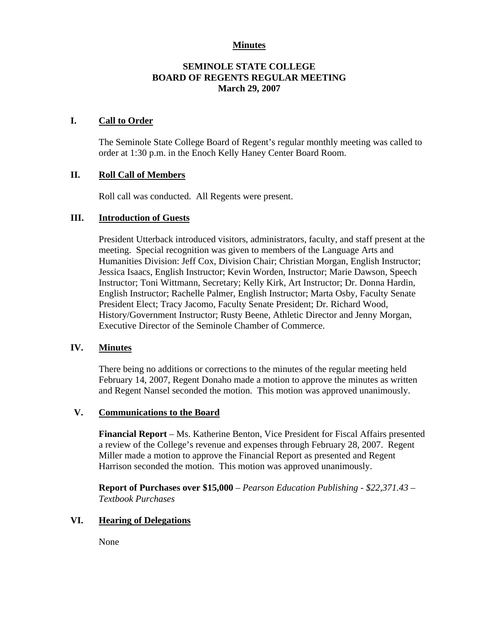### **Minutes**

## **SEMINOLE STATE COLLEGE BOARD OF REGENTS REGULAR MEETING March 29, 2007**

## **I. Call to Order**

The Seminole State College Board of Regent's regular monthly meeting was called to order at 1:30 p.m. in the Enoch Kelly Haney Center Board Room.

## **II. Roll Call of Members**

Roll call was conducted. All Regents were present.

#### **III. Introduction of Guests**

President Utterback introduced visitors, administrators, faculty, and staff present at the meeting. Special recognition was given to members of the Language Arts and Humanities Division: Jeff Cox, Division Chair; Christian Morgan, English Instructor; Jessica Isaacs, English Instructor; Kevin Worden, Instructor; Marie Dawson, Speech Instructor; Toni Wittmann, Secretary; Kelly Kirk, Art Instructor; Dr. Donna Hardin, English Instructor; Rachelle Palmer, English Instructor; Marta Osby, Faculty Senate President Elect; Tracy Jacomo, Faculty Senate President; Dr. Richard Wood, History/Government Instructor; Rusty Beene, Athletic Director and Jenny Morgan, Executive Director of the Seminole Chamber of Commerce.

#### **IV. Minutes**

There being no additions or corrections to the minutes of the regular meeting held February 14, 2007, Regent Donaho made a motion to approve the minutes as written and Regent Nansel seconded the motion. This motion was approved unanimously.

#### **V. Communications to the Board**

**Financial Report** – Ms. Katherine Benton, Vice President for Fiscal Affairs presented a review of the College's revenue and expenses through February 28, 2007. Regent Miller made a motion to approve the Financial Report as presented and Regent Harrison seconded the motion. This motion was approved unanimously.

**Report of Purchases over \$15,000** – *Pearson Education Publishing - \$22,371.43 – Textbook Purchases*

# **VI. Hearing of Delegations**

None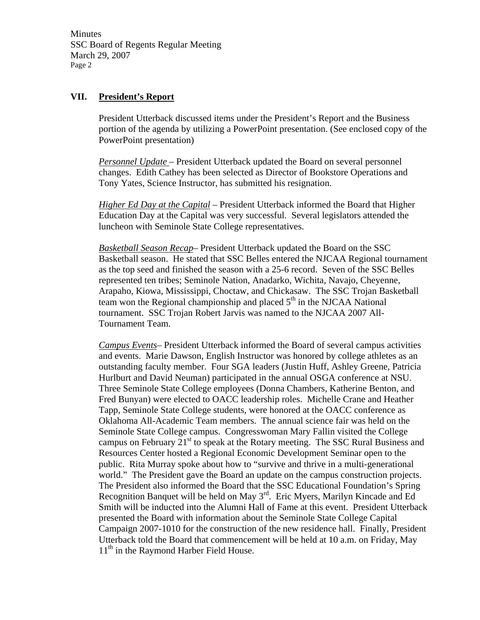Minutes SSC Board of Regents Regular Meeting March 29, 2007 Page 2

#### **VII. President's Report**

President Utterback discussed items under the President's Report and the Business portion of the agenda by utilizing a PowerPoint presentation. (See enclosed copy of the PowerPoint presentation)

*Personnel Update* – President Utterback updated the Board on several personnel changes. Edith Cathey has been selected as Director of Bookstore Operations and Tony Yates, Science Instructor, has submitted his resignation.

*Higher Ed Day at the Capital* – President Utterback informed the Board that Higher Education Day at the Capital was very successful. Several legislators attended the luncheon with Seminole State College representatives.

*Basketball Season Recap*– President Utterback updated the Board on the SSC Basketball season. He stated that SSC Belles entered the NJCAA Regional tournament as the top seed and finished the season with a 25-6 record. Seven of the SSC Belles represented ten tribes; Seminole Nation, Anadarko, Wichita, Navajo, Cheyenne, Arapaho, Kiowa, Mississippi, Choctaw, and Chickasaw. The SSC Trojan Basketball team won the Regional championship and placed  $5<sup>th</sup>$  in the NJCAA National tournament. SSC Trojan Robert Jarvis was named to the NJCAA 2007 All-Tournament Team.

*Campus Events*– President Utterback informed the Board of several campus activities and events. Marie Dawson, English Instructor was honored by college athletes as an outstanding faculty member. Four SGA leaders (Justin Huff, Ashley Greene, Patricia Hurlburt and David Neuman) participated in the annual OSGA conference at NSU. Three Seminole State College employees (Donna Chambers, Katherine Benton, and Fred Bunyan) were elected to OACC leadership roles. Michelle Crane and Heather Tapp, Seminole State College students, were honored at the OACC conference as Oklahoma All-Academic Team members. The annual science fair was held on the Seminole State College campus. Congresswoman Mary Fallin visited the College campus on February  $21^{st}$  to speak at the Rotary meeting. The SSC Rural Business and Resources Center hosted a Regional Economic Development Seminar open to the public. Rita Murray spoke about how to "survive and thrive in a multi-generational world." The President gave the Board an update on the campus construction projects. The President also informed the Board that the SSC Educational Foundation's Spring Recognition Banquet will be held on May  $3<sup>rd</sup>$ . Eric Myers, Marilyn Kincade and Ed Smith will be inducted into the Alumni Hall of Fame at this event. President Utterback presented the Board with information about the Seminole State College Capital Campaign 2007-1010 for the construction of the new residence hall. Finally, President Utterback told the Board that commencement will be held at 10 a.m. on Friday, May  $11<sup>th</sup>$  in the Raymond Harber Field House.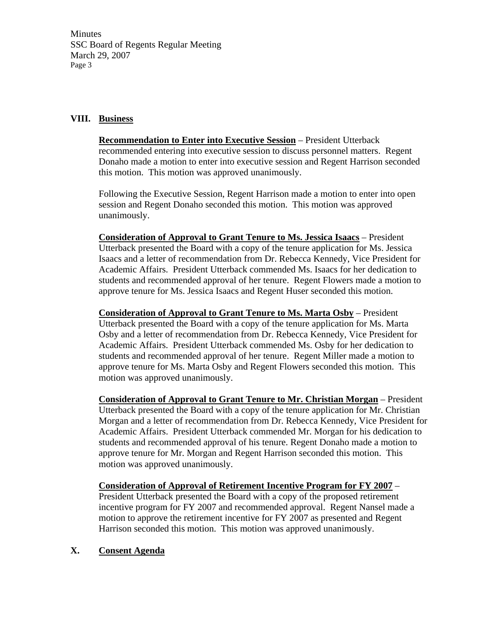Minutes SSC Board of Regents Regular Meeting March 29, 2007 Page 3

## **VIII. Business**

**Recommendation to Enter into Executive Session** – President Utterback recommended entering into executive session to discuss personnel matters. Regent Donaho made a motion to enter into executive session and Regent Harrison seconded this motion. This motion was approved unanimously.

Following the Executive Session, Regent Harrison made a motion to enter into open session and Regent Donaho seconded this motion. This motion was approved unanimously.

**Consideration of Approval to Grant Tenure to Ms. Jessica Isaacs** – President Utterback presented the Board with a copy of the tenure application for Ms. Jessica Isaacs and a letter of recommendation from Dr. Rebecca Kennedy, Vice President for Academic Affairs. President Utterback commended Ms. Isaacs for her dedication to students and recommended approval of her tenure. Regent Flowers made a motion to approve tenure for Ms. Jessica Isaacs and Regent Huser seconded this motion.

**Consideration of Approval to Grant Tenure to Ms. Marta Osby** – President Utterback presented the Board with a copy of the tenure application for Ms. Marta Osby and a letter of recommendation from Dr. Rebecca Kennedy, Vice President for Academic Affairs. President Utterback commended Ms. Osby for her dedication to students and recommended approval of her tenure. Regent Miller made a motion to approve tenure for Ms. Marta Osby and Regent Flowers seconded this motion. This motion was approved unanimously.

**Consideration of Approval to Grant Tenure to Mr. Christian Morgan** – President Utterback presented the Board with a copy of the tenure application for Mr. Christian Morgan and a letter of recommendation from Dr. Rebecca Kennedy, Vice President for Academic Affairs. President Utterback commended Mr. Morgan for his dedication to students and recommended approval of his tenure. Regent Donaho made a motion to approve tenure for Mr. Morgan and Regent Harrison seconded this motion. This motion was approved unanimously.

**Consideration of Approval of Retirement Incentive Program for FY 2007** – President Utterback presented the Board with a copy of the proposed retirement incentive program for FY 2007 and recommended approval. Regent Nansel made a motion to approve the retirement incentive for FY 2007 as presented and Regent Harrison seconded this motion. This motion was approved unanimously.

#### **X. Consent Agenda**